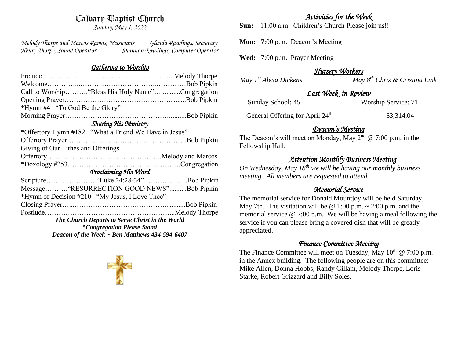# Calvary Baptist Church

*Sunday, May 1, 2022*

*Melody Thorpe and Marcos Ramos, Musicians Glenda Rawlings, Secretary Henry Thorpe, Sound Operator Shannon Rawlings, Computer Operator* 

#### *Gathering to Worship*

| Call to Worship "Bless His Holy Name"Congregation     |  |  |
|-------------------------------------------------------|--|--|
|                                                       |  |  |
| *Hymn #4 "To God Be the Glory"                        |  |  |
|                                                       |  |  |
| <b>Sharing His Ministry</b>                           |  |  |
| *Offertory Hymn #182 "What a Friend We Have in Jesus" |  |  |
|                                                       |  |  |
| Giving of Our Tithes and Offerings                    |  |  |
|                                                       |  |  |
|                                                       |  |  |
| Proclaiming His Word                                  |  |  |
|                                                       |  |  |
| Message"RESURRECTION GOOD NEWS"Bob Pipkin             |  |  |
| *Hymn of Decision #210 "My Jesus, I Love Thee"        |  |  |
|                                                       |  |  |
|                                                       |  |  |
| The Church Departs to Serve Christ in the World       |  |  |
| <i>*Congregation Please Stand</i>                     |  |  |
| Deacon of the Week $\sim$ Ben Matthews 434-594-6407   |  |  |



### *Activities for the Week*

**Sun:** 11:00 a.m. Children's Church Please join us!!

**Mon: 7**:00 p.m. Deacon's Meeting

**Wed:** 7:00 p.m. Prayer Meeting

### *Nursery Workers*

*May 1st Alexa Dickens May 8th Chris & Cristina Link* 

### *Last Week in Review*

| Sunday School: 45 | Worship Service: 71 |
|-------------------|---------------------|
|                   |                     |

General Offering for April 24<sup>th</sup> \$3,314.04

### *Deacon's Meeting*

The Deacon's will meet on Monday, May  $2^{nd}$  @ 7:00 p.m. in the Fellowship Hall.

### *Attention Monthly Business Meeting*

*On Wednesday, May 18th we will be having our monthly business meeting. All members are requested to attend.* 

# *Memorial Service*

The memorial service for Donald Mountjoy will be held Saturday, May 7th. The visitation will be  $\omega$  1:00 p.m.  $\sim$  2:00 p.m. and the memorial service @ 2:00 p.m. We will be having a meal following the service if you can please bring a covered dish that will be greatly appreciated.

# *Finance Committee Meeting*

The Finance Committee will meet on Tuesday, May  $10^{th} \text{ } @ 7:00 \text{ } \text{p.m.}$ in the Annex building. The following people are on this committee: Mike Allen, Donna Hobbs, Randy Gillam, Melody Thorpe, Loris Starke, Robert Grizzard and Billy Soles.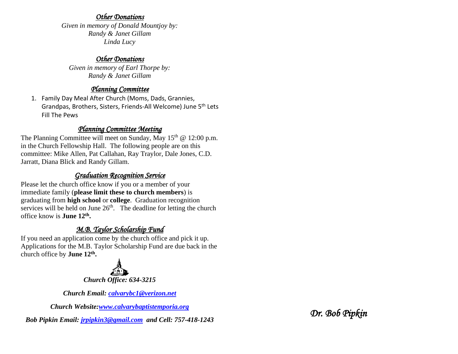#### *Other Donations*

*Given in memory of Donald Mountjoy by: Randy & Janet Gillam Linda Lucy*

### *Other Donations*

*Given in memory of Earl Thorpe by: Randy & Janet Gillam*

### *Planning Committee*

1. Family Day Meal After Church (Moms, Dads, Grannies, Grandpas, Brothers, Sisters, Friends-All Welcome) June 5th Lets Fill The Pews

### *Planning Committee Meeting*

The Planning Committee will meet on Sunday, May  $15<sup>th</sup>$  @ 12:00 p.m. in the Church Fellowship Hall. The following people are on this committee: Mike Allen, Pat Callahan, Ray Traylor, Dale Jones, C.D. Jarratt, Diana Blick and Randy Gillam.

# *Graduation Recognition Service*

Please let the church office know if you or a member of your immediate family (**please limit these to church members**) is graduating from **high school** or **college**. Graduation recognition services will be held on June  $26<sup>th</sup>$ . The deadline for letting the church office know is **June 12th .**

# *M.B. Taylor Scholarship Fund*

If you need an application come by the church office and pick it up. Applications for the M.B. Taylor Scholarship Fund are due back in the church office by **June 12th .**



*Church Office: 634-3215*

*Church Email: [calvarybc1@verizon.net](mailto:cbcemporiaoffice@gmail.com)*

*Church Website[:www.calvarybaptistemporia.org](http://www.calvarybaptistemporia.org/)*

*Bob Pipkin Email: [jrpipkin3@gmail.com](mailto:jrpipkin3@gmail.com) and Cell: 757-418-1243*

*Dr. Bob Pipkin*